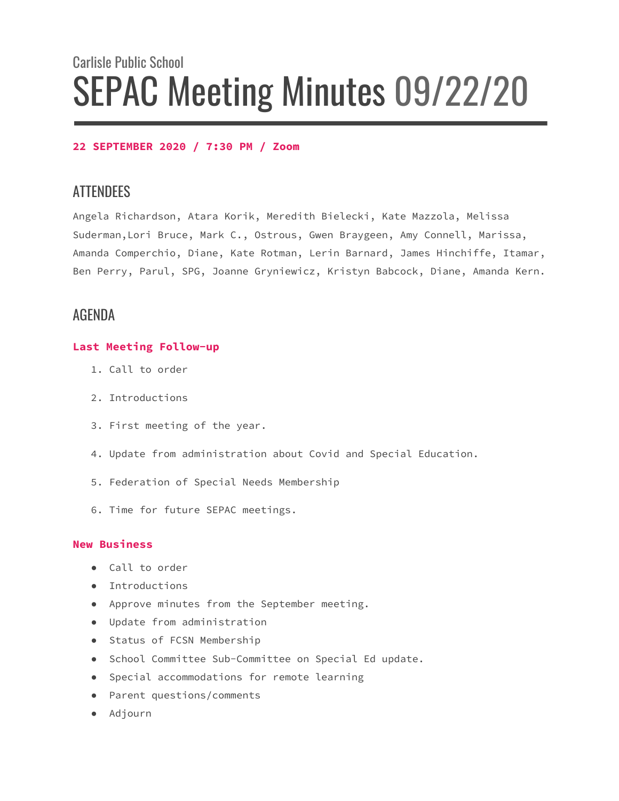# Carlisle Public School SEPAC Meeting Minutes 09/22/20

## **22 SEPTEMBER 2020 / 7:30 PM / Zoom**

# **ATTENDEES**

Angela Richardson, Atara Korik, Meredith Bielecki, Kate Mazzola, Melissa Suderman,Lori Bruce, Mark C., Ostrous, Gwen Braygeen, Amy Connell, Marissa, Amanda Comperchio, Diane, Kate Rotman, Lerin Barnard, James Hinchiffe, Itamar, Ben Perry, Parul, SPG, Joanne Gryniewicz, Kristyn Babcock, Diane, Amanda Kern.

# AGENDA

### **Last Meeting Follow-up**

- 1. Call to order
- 2. Introductions
- 3. First meeting of the year.
- 4. Update from administration about Covid and Special Education.
- 5. Federation of Special Needs Membership
- 6. Time for future SEPAC meetings.

### **New Business**

- Call to order
- Introductions
- Approve minutes from the September meeting.
- Update from administration
- Status of FCSN Membership
- School Committee Sub-Committee on Special Ed update.
- Special accommodations for remote learning
- Parent questions/comments
- Adjourn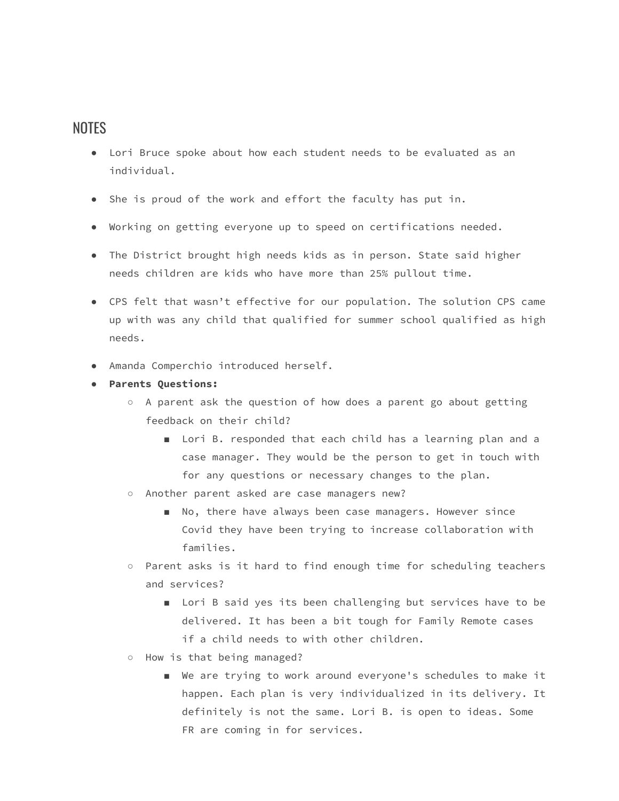# NOTES

- Lori Bruce spoke about how each student needs to be evaluated as an individual.
- She is proud of the work and effort the faculty has put in.
- Working on getting everyone up to speed on certifications needed.
- The District brought high needs kids as in person. State said higher needs children are kids who have more than 25% pullout time.
- CPS felt that wasn't effective for our population. The solution CPS came up with was any child that qualified for summer school qualified as high needs.
- Amanda Comperchio introduced herself.
- **Parents Questions:**
	- A parent ask the question of how does a parent go about getting feedback on their child?
		- Lori B. responded that each child has a learning plan and a case manager. They would be the person to get in touch with for any questions or necessary changes to the plan.
	- Another parent asked are case managers new?
		- No, there have always been case managers. However since Covid they have been trying to increase collaboration with families.
	- Parent asks is it hard to find enough time for scheduling teachers and services?
		- Lori B said yes its been challenging but services have to be delivered. It has been a bit tough for Family Remote cases if a child needs to with other children.
	- How is that being managed?
		- We are trying to work around everyone's schedules to make it happen. Each plan is very individualized in its delivery. It definitely is not the same. Lori B. is open to ideas. Some FR are coming in for services.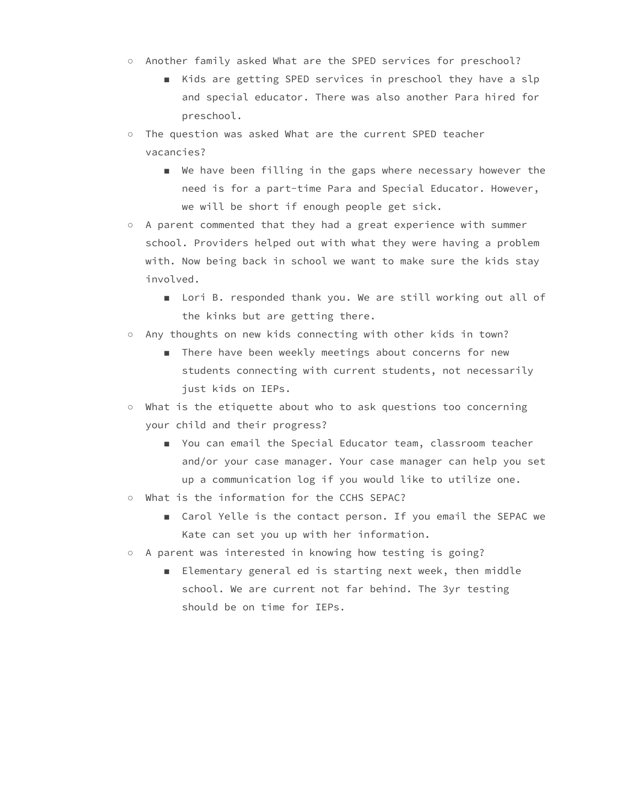- Another family asked What are the SPED services for preschool?
	- Kids are getting SPED services in preschool they have a slp and special educator. There was also another Para hired for preschool.
- The question was asked What are the current SPED teacher vacancies?
	- We have been filling in the gaps where necessary however the need is for a part-time Para and Special Educator. However, we will be short if enough people get sick.
- A parent commented that they had a great experience with summer school. Providers helped out with what they were having a problem with. Now being back in school we want to make sure the kids stay involved.
	- Lori B. responded thank you. We are still working out all of the kinks but are getting there.
- Any thoughts on new kids connecting with other kids in town?
	- There have been weekly meetings about concerns for new students connecting with current students, not necessarily just kids on IEPs.
- What is the etiquette about who to ask questions too concerning your child and their progress?
	- You can email the Special Educator team, classroom teacher and/or your case manager. Your case manager can help you set up a communication log if you would like to utilize one.
- What is the information for the CCHS SEPAC?
	- Carol Yelle is the contact person. If you email the SEPAC we Kate can set you up with her information.
- A parent was interested in knowing how testing is going?
	- Elementary general ed is starting next week, then middle school. We are current not far behind. The 3yr testing should be on time for IEPs.